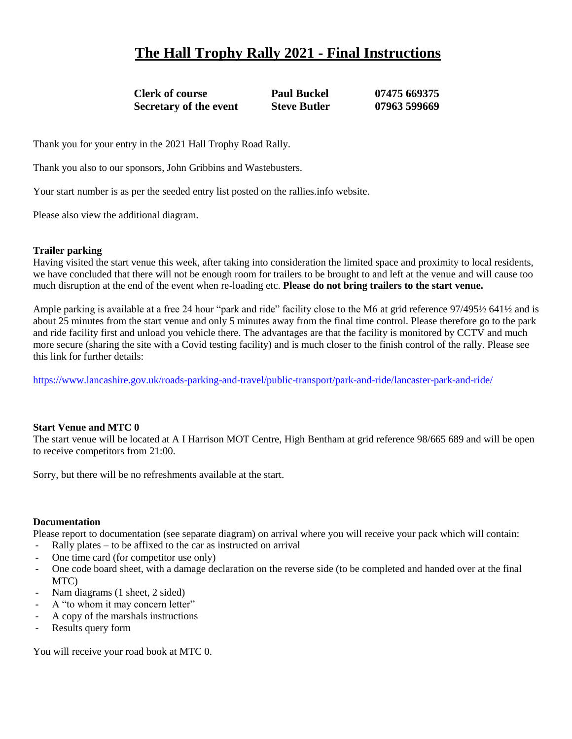# **The Hall Trophy Rally 2021 - Final Instructions**

**Clerk of course Paul Buckel 07475 669375 Secretary of the event Steve Butler 07963 599669**

Thank you for your entry in the 2021 Hall Trophy Road Rally.

Thank you also to our sponsors, John Gribbins and Wastebusters.

Your start number is as per the seeded entry list posted on the rallies.info website.

Please also view the additional diagram.

### **Trailer parking**

Having visited the start venue this week, after taking into consideration the limited space and proximity to local residents, we have concluded that there will not be enough room for trailers to be brought to and left at the venue and will cause too much disruption at the end of the event when re-loading etc. **Please do not bring trailers to the start venue.**

Ample parking is available at a free 24 hour "park and ride" facility close to the M6 at grid reference 97/495½ 641½ and is about 25 minutes from the start venue and only 5 minutes away from the final time control. Please therefore go to the park and ride facility first and unload you vehicle there. The advantages are that the facility is monitored by CCTV and much more secure (sharing the site with a Covid testing facility) and is much closer to the finish control of the rally. Please see this link for further details:

<https://www.lancashire.gov.uk/roads-parking-and-travel/public-transport/park-and-ride/lancaster-park-and-ride/>

### **Start Venue and MTC 0**

The start venue will be located at A I Harrison MOT Centre, High Bentham at grid reference 98/665 689 and will be open to receive competitors from 21:00.

Sorry, but there will be no refreshments available at the start.

#### **Documentation**

Please report to documentation (see separate diagram) on arrival where you will receive your pack which will contain:

- Rally plates  $-$  to be affixed to the car as instructed on arrival
- One time card (for competitor use only)
- One code board sheet, with a damage declaration on the reverse side (to be completed and handed over at the final MTC)
- Nam diagrams (1 sheet, 2 sided)
- A "to whom it may concern letter"
- A copy of the marshals instructions
- Results query form

You will receive your road book at MTC 0.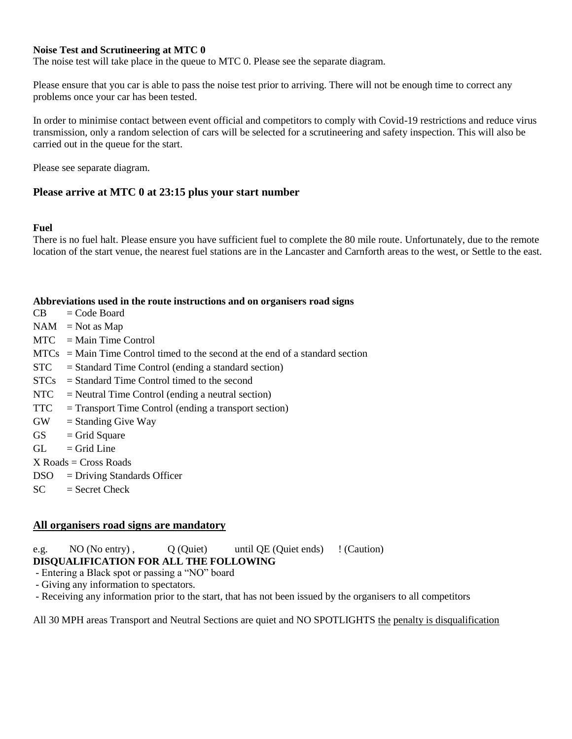### **Noise Test and Scrutineering at MTC 0**

The noise test will take place in the queue to MTC 0. Please see the separate diagram.

Please ensure that you car is able to pass the noise test prior to arriving. There will not be enough time to correct any problems once your car has been tested.

In order to minimise contact between event official and competitors to comply with Covid-19 restrictions and reduce virus transmission, only a random selection of cars will be selected for a scrutineering and safety inspection. This will also be carried out in the queue for the start.

Please see separate diagram.

## **Please arrive at MTC 0 at 23:15 plus your start number**

### **Fuel**

There is no fuel halt. Please ensure you have sufficient fuel to complete the 80 mile route. Unfortunately, due to the remote location of the start venue, the nearest fuel stations are in the Lancaster and Carnforth areas to the west, or Settle to the east.

### **Abbreviations used in the route instructions and on organisers road signs**

- $CB = Code Board$
- $NAM = Not as Map$
- $MTC = Main Time Control$
- $MTCs = Main Time Control time$  to the second at the end of a standard section
- $STC = Standard Time Control (ending a standard section)$
- STCs = Standard Time Control timed to the second
- $NTC = Neutral Time Control (ending a neutral section)$
- $TTC = Transport Time Control (ending a transport section)$
- $GW =$  Standing Give Way
- $GS =$ Grid Square
- $GL =$  Grid Line
- $X$  Roads  $=$  Cross Roads
- DSO = Driving Standards Officer
- $SC = Secret Check$

## **All organisers road signs are mandatory**

e.g. NO (No entry), Q (Quiet) until QE (Quiet ends) ! (Caution) **DISQUALIFICATION FOR ALL THE FOLLOWING**

- Entering a Black spot or passing a "NO" board
- Giving any information to spectators.
- Receiving any information prior to the start, that has not been issued by the organisers to all competitors

All 30 MPH areas Transport and Neutral Sections are quiet and NO SPOTLIGHTS the penalty is disqualification